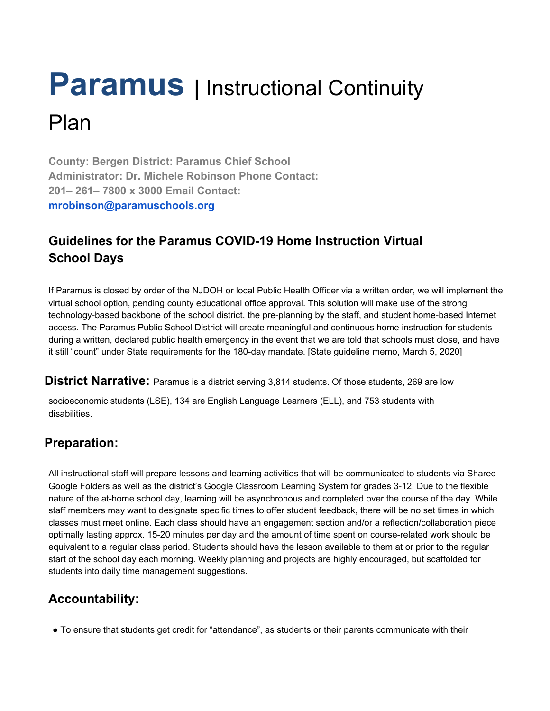### **Paramus** | Instructional Continuity Plan

**County: Bergen District: Paramus Chief School Administrator: Dr. Michele Robinson Phone Contact: 201– 261– 7800 x 3000 Email Contact: mrobinson@paramuschools.org**

### **Guidelines for the Paramus COVID-19 Home Instruction Virtual School Days**

If Paramus is closed by order of the NJDOH or local Public Health Officer via a written order, we will implement the virtual school option, pending county educational office approval. This solution will make use of the strong technology-based backbone of the school district, the pre-planning by the staff, and student home-based Internet access. The Paramus Public School District will create meaningful and continuous home instruction for students during a written, declared public health emergency in the event that we are told that schools must close, and have it still "count" under State requirements for the 180-day mandate. [State guideline memo, March 5, 2020]

**District Narrative:** Paramus is a district serving 3,814 students. Of those students, 269 are low

socioeconomic students (LSE), 134 are English Language Learners (ELL), and 753 students with disabilities.

### **Preparation:**

All instructional staff will prepare lessons and learning activities that will be communicated to students via Shared Google Folders as well as the district's Google Classroom Learning System for grades 3-12. Due to the flexible nature of the at-home school day, learning will be asynchronous and completed over the course of the day. While staff members may want to designate specific times to offer student feedback, there will be no set times in which classes must meet online. Each class should have an engagement section and/or a reflection/collaboration piece optimally lasting approx. 15-20 minutes per day and the amount of time spent on course-related work should be equivalent to a regular class period. Students should have the lesson available to them at or prior to the regular start of the school day each morning. Weekly planning and projects are highly encouraged, but scaffolded for students into daily time management suggestions.

### **Accountability:**

● To ensure that students get credit for "attendance", as students or their parents communicate with their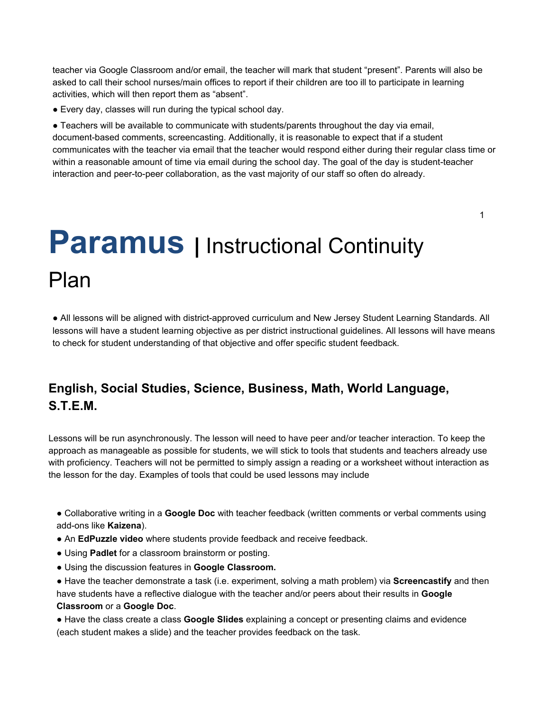teacher via Google Classroom and/or email, the teacher will mark that student "present". Parents will also be asked to call their school nurses/main offices to report if their children are too ill to participate in learning activities, which will then report them as "absent".

● Every day, classes will run during the typical school day.

● Teachers will be available to communicate with students/parents throughout the day via email, document-based comments, screencasting. Additionally, it is reasonable to expect that if a student communicates with the teacher via email that the teacher would respond either during their regular class time or within a reasonable amount of time via email during the school day. The goal of the day is student-teacher interaction and peer-to-peer collaboration, as the vast majority of our staff so often do already.

1

### **Paramus** | Instructional Continuity Plan

● All lessons will be aligned with district-approved curriculum and New Jersey Student Learning Standards. All lessons will have a student learning objective as per district instructional guidelines. All lessons will have means to check for student understanding of that objective and offer specific student feedback.

### **English, Social Studies, Science, Business, Math, World Language, S.T.E.M.**

Lessons will be run asynchronously. The lesson will need to have peer and/or teacher interaction. To keep the approach as manageable as possible for students, we will stick to tools that students and teachers already use with proficiency. Teachers will not be permitted to simply assign a reading or a worksheet without interaction as the lesson for the day. Examples of tools that could be used lessons may include

● Collaborative writing in a **Google Doc** with teacher feedback (written comments or verbal comments using add-ons like **Kaizena**).

- An **EdPuzzle video** where students provide feedback and receive feedback.
- Using **Padlet** for a classroom brainstorm or posting.
- Using the discussion features in **Google Classroom.**
- Have the teacher demonstrate a task (i.e. experiment, solving a math problem) via **Screencastify** and then have students have a reflective dialogue with the teacher and/or peers about their results in **Google Classroom** or a **Google Doc**.

● Have the class create a class **Google Slides** explaining a concept or presenting claims and evidence (each student makes a slide) and the teacher provides feedback on the task.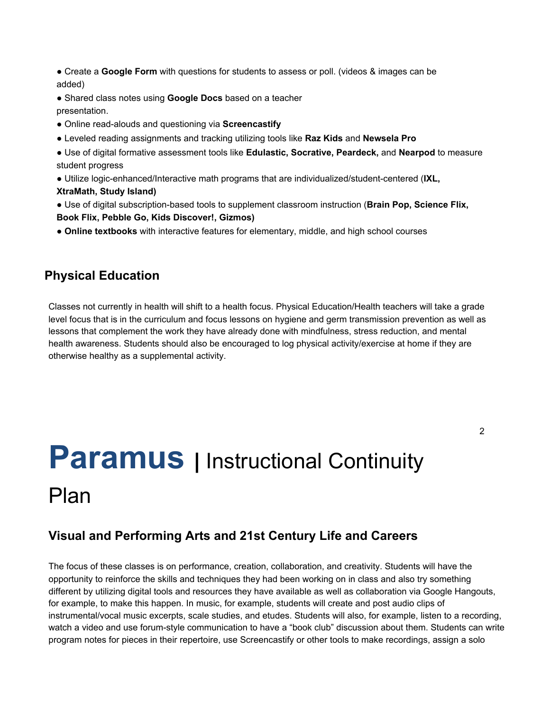- Create a **Google Form** with questions for students to assess or poll. (videos & images can be added)
- Shared class notes using **Google Docs** based on a teacher presentation.
- Online read-alouds and questioning via **Screencastify**
- Leveled reading assignments and tracking utilizing tools like **Raz Kids** and **Newsela Pro**
- Use of digital formative assessment tools like **Edulastic, Socrative, Peardeck,** and **Nearpod** to measure student progress
- Utilize logic-enhanced/Interactive math programs that are individualized/student-centered (**IXL, XtraMath, Study Island)**
- Use of digital subscription-based tools to supplement classroom instruction (**Brain Pop, Science Flix, Book Flix, Pebble Go, Kids Discover!, Gizmos)**
- **Online textbooks** with interactive features for elementary, middle, and high school courses

#### **Physical Education**

Classes not currently in health will shift to a health focus. Physical Education/Health teachers will take a grade level focus that is in the curriculum and focus lessons on hygiene and germ transmission prevention as well as lessons that complement the work they have already done with mindfulness, stress reduction, and mental health awareness. Students should also be encouraged to log physical activity/exercise at home if they are otherwise healthy as a supplemental activity.

# **Paramus** | Instructional Continuity Plan

#### **Visual and Performing Arts and 21st Century Life and Careers**

The focus of these classes is on performance, creation, collaboration, and creativity. Students will have the opportunity to reinforce the skills and techniques they had been working on in class and also try something different by utilizing digital tools and resources they have available as well as collaboration via Google Hangouts, for example, to make this happen. In music, for example, students will create and post audio clips of instrumental/vocal music excerpts, scale studies, and etudes. Students will also, for example, listen to a recording, watch a video and use forum-style communication to have a "book club" discussion about them. Students can write program notes for pieces in their repertoire, use Screencastify or other tools to make recordings, assign a solo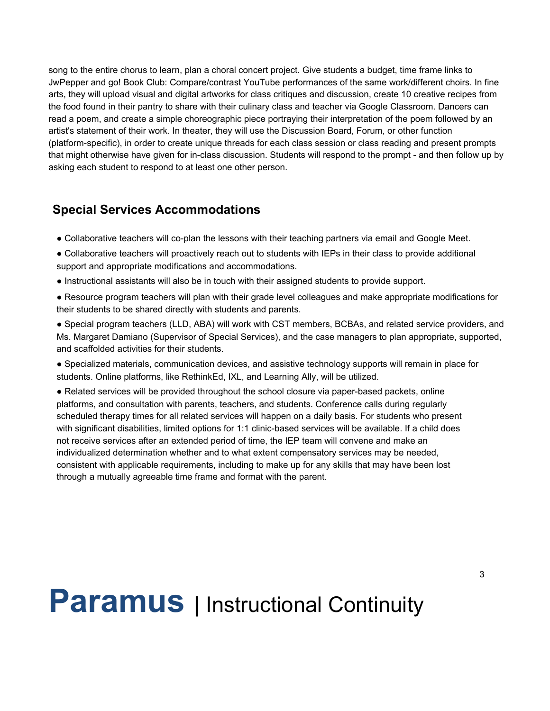song to the entire chorus to learn, plan a choral concert project. Give students a budget, time frame links to JwPepper and go! Book Club: Compare/contrast YouTube performances of the same work/different choirs. In fine arts, they will upload visual and digital artworks for class critiques and discussion, create 10 creative recipes from the food found in their pantry to share with their culinary class and teacher via Google Classroom. Dancers can read a poem, and create a simple choreographic piece portraying their interpretation of the poem followed by an artist's statement of their work. In theater, they will use the Discussion Board, Forum, or other function (platform-specific), in order to create unique threads for each class session or class reading and present prompts that might otherwise have given for in-class discussion. Students will respond to the prompt - and then follow up by asking each student to respond to at least one other person.

#### **Special Services Accommodations**

- Collaborative teachers will co-plan the lessons with their teaching partners via email and Google Meet.
- Collaborative teachers will proactively reach out to students with IEPs in their class to provide additional support and appropriate modifications and accommodations.
- Instructional assistants will also be in touch with their assigned students to provide support.
- Resource program teachers will plan with their grade level colleagues and make appropriate modifications for their students to be shared directly with students and parents.
- Special program teachers (LLD, ABA) will work with CST members, BCBAs, and related service providers, and Ms. Margaret Damiano (Supervisor of Special Services), and the case managers to plan appropriate, supported, and scaffolded activities for their students.
- Specialized materials, communication devices, and assistive technology supports will remain in place for students. Online platforms, like RethinkEd, IXL, and Learning Ally, will be utilized.
- Related services will be provided throughout the school closure via paper-based packets, online platforms, and consultation with parents, teachers, and students. Conference calls during regularly scheduled therapy times for all related services will happen on a daily basis. For students who present with significant disabilities, limited options for 1:1 clinic-based services will be available. If a child does not receive services after an extended period of time, the IEP team will convene and make an individualized determination whether and to what extent compensatory services may be needed, consistent with applicable requirements, including to make up for any skills that may have been lost through a mutually agreeable time frame and format with the parent.

## **Paramus** | Instructional Continuity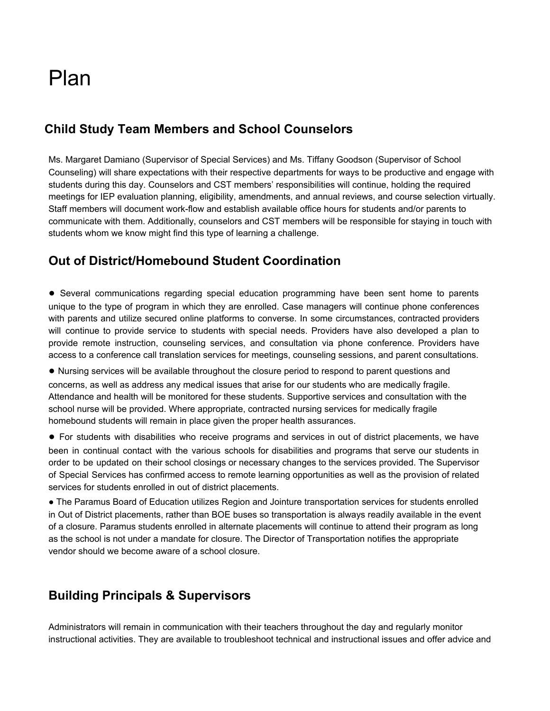### Plan

### **Child Study Team Members and School Counselors**

Ms. Margaret Damiano (Supervisor of Special Services) and Ms. Tiffany Goodson (Supervisor of School Counseling) will share expectations with their respective departments for ways to be productive and engage with students during this day. Counselors and CST members' responsibilities will continue, holding the required meetings for IEP evaluation planning, eligibility, amendments, and annual reviews, and course selection virtually. Staff members will document work-flow and establish available office hours for students and/or parents to communicate with them. Additionally, counselors and CST members will be responsible for staying in touch with students whom we know might find this type of learning a challenge.

### **Out of District/Homebound Student Coordination**

**●** Several communications regarding special education programming have been sent home to parents unique to the type of program in which they are enrolled. Case managers will continue phone conferences with parents and utilize secured online platforms to converse. In some circumstances, contracted providers will continue to provide service to students with special needs. Providers have also developed a plan to provide remote instruction, counseling services, and consultation via phone conference. Providers have access to a conference call translation services for meetings, counseling sessions, and parent consultations.

● Nursing services will be available throughout the closure period to respond to parent questions and concerns, as well as address any medical issues that arise for our students who are medically fragile. Attendance and health will be monitored for these students. Supportive services and consultation with the school nurse will be provided. Where appropriate, contracted nursing services for medically fragile homebound students will remain in place given the proper health assurances.

● For students with disabilities who receive programs and services in out of district placements, we have been in continual contact with the various schools for disabilities and programs that serve our students in order to be updated on their school closings or necessary changes to the services provided. The Supervisor of Special Services has confirmed access to remote learning opportunities as well as the provision of related services for students enrolled in out of district placements.

● The Paramus Board of Education utilizes Region and Jointure transportation services for students enrolled in Out of District placements, rather than BOE buses so transportation is always readily available in the event of a closure. Paramus students enrolled in alternate placements will continue to attend their program as long as the school is not under a mandate for closure. The Director of Transportation notifies the appropriate vendor should we become aware of a school closure.

### **Building Principals & Supervisors**

Administrators will remain in communication with their teachers throughout the day and regularly monitor instructional activities. They are available to troubleshoot technical and instructional issues and offer advice and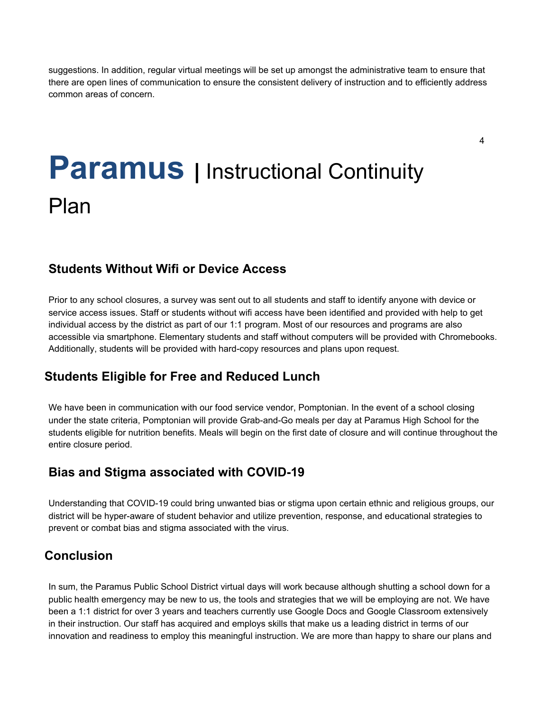suggestions. In addition, regular virtual meetings will be set up amongst the administrative team to ensure that there are open lines of communication to ensure the consistent delivery of instruction and to efficiently address common areas of concern.

4

# **Paramus** | Instructional Continuity Plan

### **Students Without Wifi or Device Access**

Prior to any school closures, a survey was sent out to all students and staff to identify anyone with device or service access issues. Staff or students without wifi access have been identified and provided with help to get individual access by the district as part of our 1:1 program. Most of our resources and programs are also accessible via smartphone. Elementary students and staff without computers will be provided with Chromebooks. Additionally, students will be provided with hard-copy resources and plans upon request.

### **Students Eligible for Free and Reduced Lunch**

We have been in communication with our food service vendor, Pomptonian. In the event of a school closing under the state criteria, Pomptonian will provide Grab-and-Go meals per day at Paramus High School for the students eligible for nutrition benefits. Meals will begin on the first date of closure and will continue throughout the entire closure period.

### **Bias and Stigma associated with COVID-19**

Understanding that COVID-19 could bring unwanted bias or stigma upon certain ethnic and religious groups, our district will be hyper-aware of student behavior and utilize prevention, response, and educational strategies to prevent or combat bias and stigma associated with the virus.

### **Conclusion**

In sum, the Paramus Public School District virtual days will work because although shutting a school down for a public health emergency may be new to us, the tools and strategies that we will be employing are not. We have been a 1:1 district for over 3 years and teachers currently use Google Docs and Google Classroom extensively in their instruction. Our staff has acquired and employs skills that make us a leading district in terms of our innovation and readiness to employ this meaningful instruction. We are more than happy to share our plans and